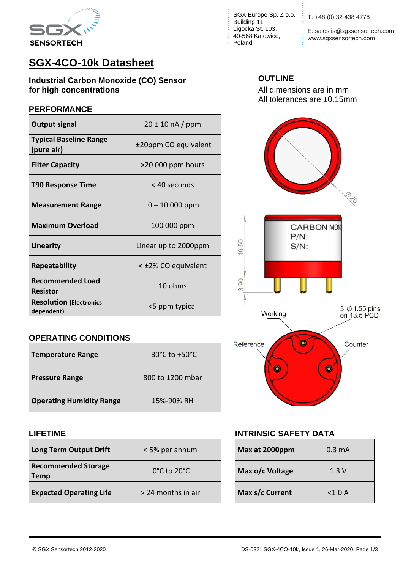

# **SGX-4CO-10k Datasheet**

**Industrial Carbon Monoxide (CO) Sensor OUTLINE for high concentrations for high concentrations All dimensions** are in mm

### **PERFORMANCE**

| <b>Output signal</b>                         | $20 \pm 10$ nA / ppm |  |
|----------------------------------------------|----------------------|--|
| <b>Typical Baseline Range</b><br>(pure air)  | ±20ppm CO equivalent |  |
| <b>Filter Capacity</b>                       | >20 000 ppm hours    |  |
| <b>T90 Response Time</b>                     | < 40 seconds         |  |
| <b>Measurement Range</b>                     | $0 - 10000$ ppm      |  |
| <b>Maximum Overload</b>                      | 100 000 ppm          |  |
| Linearity                                    | Linear up to 2000ppm |  |
| <b>Repeatability</b>                         | < ±2% CO equivalent  |  |
| <b>Recommended Load</b><br><b>Resistor</b>   | 10 ohms              |  |
| <b>Resolution (Electronics</b><br>dependent) | <5 ppm typical       |  |

### **OPERATING CONDITIONS**

| <b>Temperature Range</b>        | $-30^{\circ}$ C to $+50^{\circ}$ C |
|---------------------------------|------------------------------------|
| <b>Pressure Range</b>           | 800 to 1200 mbar                   |
| <b>Operating Humidity Range</b> | 15%-90% RH                         |

| Long Term Output Drift                    | < 5% per annum                   | Max at 2000ppm  | $0.3 \text{ mA}$ |
|-------------------------------------------|----------------------------------|-----------------|------------------|
| <b>Recommended Storage</b><br><b>Temp</b> | $0^{\circ}$ C to 20 $^{\circ}$ C | Max o/c Voltage | 1.3V             |
| <b>Expected Operating Life</b>            | > 24 months in air               | Max s/c Current | < 1.0 A          |

SGX Europe Sp. Z o.o. T: +48 (0) 32 438 4778 Building 11 Ligocka St. 103, 40-568 Katowice, Poland

E: sales.is@sgxsensortech.com **www.sgxsensortech.com** 



### **LIFETIME INTRINSIC SAFETY DATA**

| Max at 2000ppm  | $0.3 \text{ mA}$ |
|-----------------|------------------|
| Max o/c Voltage | 1.3V             |
| Max s/c Current | < 1.0 A          |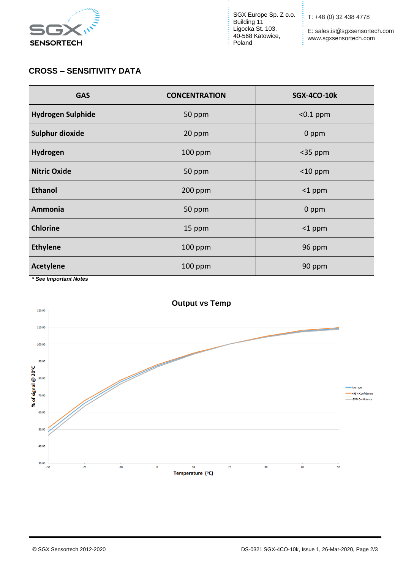

SGX Europe Sp. Z o.o. Building 11 Ligocka St. 103, 40-568 Katowice, Poland

T: +48 (0) 32 438 4778

Ē.

E: sales.is@sgxsensortech.com www.sgxsensortech.com

## **CROSS – SENSITIVITY DATA**

| <b>GAS</b>               | <b>CONCENTRATION</b> | <b>SGX-4CO-10k</b> |
|--------------------------|----------------------|--------------------|
| <b>Hydrogen Sulphide</b> | 50 ppm               | $<$ 0.1 ppm        |
| Sulphur dioxide          | 20 ppm               | 0 ppm              |
| Hydrogen                 | 100 ppm              | $<$ 35 ppm         |
| <b>Nitric Oxide</b>      | 50 ppm               | $<$ 10 ppm         |
| <b>Ethanol</b>           | 200 ppm              | $<$ 1 ppm          |
| Ammonia                  | 50 ppm               | 0 ppm              |
| <b>Chlorine</b>          | 15 ppm               | $<$ 1 ppm          |
| <b>Ethylene</b>          | 100 ppm              | 96 ppm             |
| <b>Acetylene</b>         | 100 ppm              | 90 ppm             |

 *\* See Important Notes*